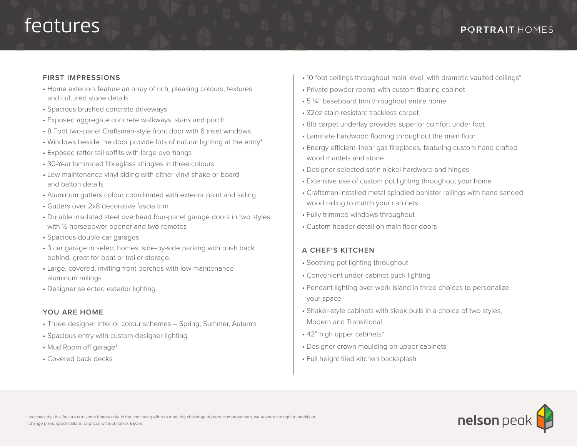# features

#### **FIRST IMPRESSIONS**

- Home exteriors feature an array of rich, pleasing colours, textures and cultured stone details
- Spacious brushed concrete driveways
- Exposed aggregate concrete walkways, stairs and porch
- 8 Foot two-panel Craftsman-style front door with 6 inset windows
- Windows beside the door provide lots of natural lighting at the entry\*
- Exposed rafter tail soffits with large overhangs
- 30-Year laminated fibreglass shingles in three colours
- Low maintenance vinyl siding with either vinyl shake or board and batton details
- Aluminum gutters colour coordinated with exterior paint and siding
- Gutters over 2x8 decorative fascia trim
- Durable insulated steel overhead four-panel garage doors in two styles with ½ horsepower opener and two remotes
- Spacious double car garages
- 3 car garage in select homes: side-by-side parking with push back behind, great for boat or trailer storage.
- Large, covered, inviting front porches with low maintenance aluminum railings
- Designer selected exterior lighting

#### **YOU ARE HOME**

- Three designer interior colour schemes Spring, Summer, Autumn
- Spacious entry with custom designer lighting
- Mud Room off garage\*
- Covered back decks
- 10 foot ceilings throughout main level, with dramatic vaulted ceilings\*
- Private powder rooms with custom floating cabinet
- 5 1/4" baseboard trim throughout entire home
- 32oz stain resistant trackless carpet
- 8lb carpet underlay provides superior comfort under foot
- Laminate hardwood flooring throughout the main floor
- Energy efficient linear gas fireplaces, featuring custom hand crafted wood mantels and stone
- Designer selected satin nickel hardware and hinges
- Extensive use of custom pot lighting throughout your home
- Craftsman installed metal spindled banister railings with hand sanded wood railing to match your cabinets
- Fully trimmed windows throughout
- Custom header detail on main floor doors

## **A CHEF'S KITCHEN**

- Soothing pot lighting throughout
- Convenient under-cabinet puck lighting
- Pendant lighting over work island in three choices to personalize your space
- Shaker-style cabinets with sleek pulls in a choice of two styles, Modern and Transitional
- 42" high upper cabinets\*
- Designer crown moulding on upper cabinets
- Full height tiled kitchen backsplash